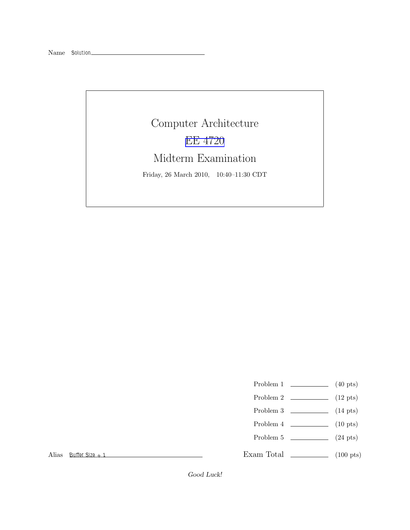Computer Architecture [EE 4720](http://www.ece.lsu.edu/ee4720/) Midterm Examination Friday, 26 March 2010, 10:40–11:30 CDT

Problem 1  $\qquad \qquad$  (40 pts)

- Problem 2  $\qquad \qquad$  (12 pts)
- Problem 3 (14 pts)
- Problem 4  $\qquad \qquad$  (10 pts)
- Problem 5  $\qquad \qquad (24 \text{ pts})$

Exam Total \_\_\_\_\_\_\_\_\_\_\_\_\_ (100 pts)

Alias Buffer  $Si7e + 1$ 

Good Luck!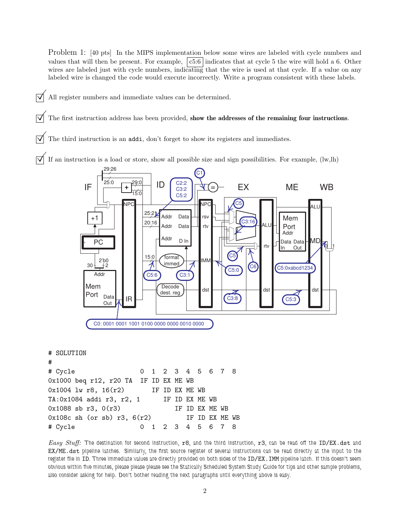Problem 1: [40 pts] In the MIPS implementation below some wires are labeled with cycle numbers and values that will then be present. For example,  $|c5:6|$  indicates that at cycle 5 the wire will hold a 6. Other wires are labeled just with cycle numbers, indicating that the wire is used at that cycle. If a value on any labeled wire is changed the code would execute incorrectly. Write a program consistent with these labels.

All register numbers and immediate values can be determined.

The first instruction address has been provided, show the addresses of the remaining four instructions.

The third instruction is an addi, don't forget to show its registers and immediates.

If an instruction is a load or store, show all possible size and sign possibilities. For example, (lw,lh)



# SOLUTION # # Cycle 0 1 2 3 4 5 6 7 8 0x1000 beq r12, r20 TA IF ID EX ME WB 0x1004 lw r8, 16(r2) IF ID EX ME WB TA:0x1084 addi r3, r2, 1 IF ID EX ME WB 0x1088 sb r3, 0(r3) IF ID EX ME WB  $0x108c$  sh (or sb) r3,  $6(r2)$  IF ID EX ME WB # Cycle 0 1 2 3 4 5 6 7 8

Easy Stuff: The destination for second instruction,  $r8$ , and the third instruction,  $r3$ , can be read off the ID/EX.dst and EX/ME.dst pipeline latches. Similarly, the first source register of several instructions can be read directly at the input to the register file in ID. Three immediate values are directly provided on both sides of the ID/EX. IMM pipeline latch. If this doesn't seem obvious within five minutes, please please please see the Statically Scheduled System Study Guide for tips and other sample problems, also consider asking for help. Don't bother reading the next paragraphs until everything above is easy.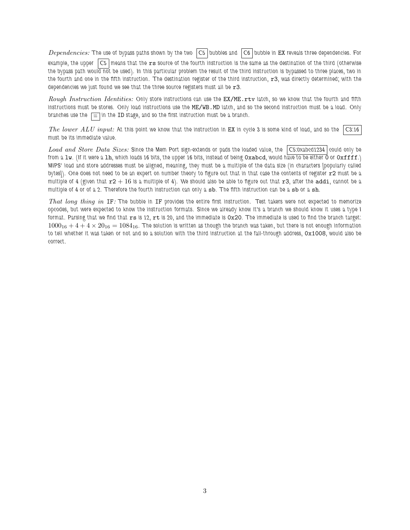Dependencies: The use of bypass paths shown by the two  $|C5|$  bubbles and  $|C6|$  bubble in EX reveals three dependencies. For example, the upper  $|C5|$  means that the  $rs$  source of the fourth instruction is the same as the destination of the third (otherwise the bypass path would not be used). In this particular problem the result of the third instruction is bypassed to three places, two in the fourth and one in the fifth instruction. The destination register of the third instruction,  $r3$ , was directly determined; with the dependencies we just found we see that the three source registers must all be  $r3$ .

Rough Instruction Identities: Only store instructions can use the EX/ME.rtv latch, so we know that the fourth and fifth instructions must be stores. Only load instructions use the ME/WB.MD latch, and so the second instruction must be a load. Only branches use the  $\boxed{\equiv}$  in the ID stage, and so the first instruction must be a branch.

The lower ALU input: At this point we know that the instruction in EX in cycle 3 is some kind of load, and so the  $\vert$ C3:16 must be its immediate value.

Load and Store Data Sizes: Since the Mem Port sign-extends or pads the loaded value, the  $\vert$ C5:0xabcd1234  $\vert$ could only be from a  $1w$ . (If it were a 1h, which loads 16 bits, the upper 16 bits, instead of being Oxabcd, would have to be either 0 or Oxffff.) MIPS' load and store addresses must be aligned, meaning, they must be a multiple of the data size (in characters [popularly called bytes]). One does not need to be an expert on number theory to figure out that in that case the contents of register  $r2$  must be a multiple of 4 (given that  $r2+16$  is a multiple of 4). We should also be able to figure out that  $r3$ , after the addi, cannot be a multiple of 4 or of a 2. Therefore the fourth instruction can only a sb. The fifth instruction can be a sb or a sh.

That long thing in IF: The bubble in IF provides the entire first instruction. Test takers were not expected to memorize opcodes, but were expected to know the instruction formats. Since we already know it's a branch we should know it uses a type I format. Parsing that we find that  $rs$  is 12,  $rt$  is 20, and the immediate is  $0x20$ . The immediate is used to find the branch target:  $1000_{16} + 4 + 4 \times 20_{16} = 1084_{16}$ . The solution is written as though the branch was taken, but there is not enough information to tell whether it was taken or not and so a solution with the third instruction at the fall-through address, 0x1008, would also be correct.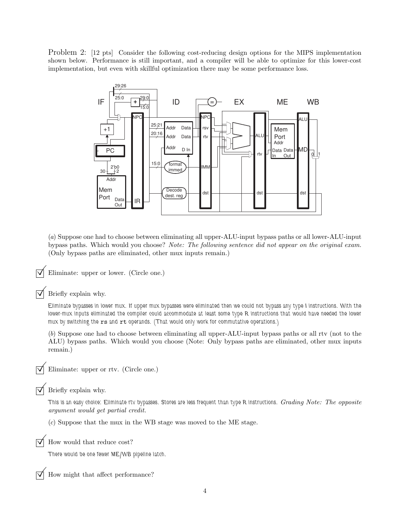Problem 2: [12 pts] Consider the following cost-reducing design options for the MIPS implementation shown below. Performance is still important, and a compiler will be able to optimize for this lower-cost implementation, but even with skillful optimization there may be some performance loss.



(a) Suppose one had to choose between eliminating all upper-ALU-input bypass paths or all lower-ALU-input bypass paths. Which would you choose? Note: The following sentence did not appear on the original exam. (Only bypass paths are eliminated, other mux inputs remain.)

Eliminate: upper or lower. (Circle one.)

Briefly explain why.

Eliminate bypasses in lower mux. If upper mux bypasses were eliminated then we could not bypass any type I instructions. With the lower-mux inputs eliminated the compiler could accommodate at least some type R instructions that would have needed the lower mux by switching the rs and rt operands. (That would only work for commutative operations.)

(b) Suppose one had to choose between eliminating all upper-ALU-input bypass paths or all rtv (not to the ALU) bypass paths. Which would you choose (Note: Only bypass paths are eliminated, other mux inputs remain.)

Eliminate: upper or rtv. (Circle one.)

 $\triangledown$  Briefly explain why.

This is an easy choice: Eliminate rty bypasses. Stores are less frequent than type R instructions. Grading Note: The opposite argument would get partial credit.

(c) Suppose that the mux in the WB stage was moved to the ME stage.

How would that reduce cost?

There would be one fewer ME/WB pipeline latch.

How might that affect performance?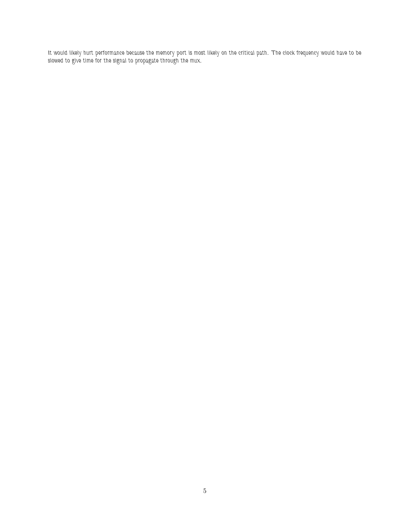It would likely hurt performance because the memory port is most likely on the critical path. The clock frequency would have to be slowed to give time for the signal to propagate through the mux.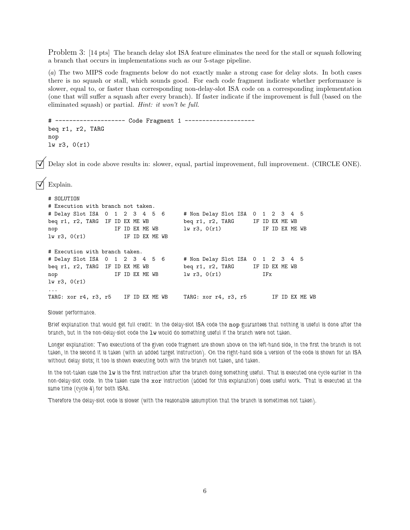Problem 3: [14 pts] The branch delay slot ISA feature eliminates the need for the stall or squash following a branch that occurs in implementations such as our 5-stage pipeline.

(a) The two MIPS code fragments below do not exactly make a strong case for delay slots. In both cases there is no squash or stall, which sounds good. For each code fragment indicate whether performance is slower, equal to, or faster than corresponding non-delay-slot ISA code on a corresponding implementation (one that will suffer a squash after every branch). If faster indicate if the improvement is full (based on the eliminated squash) or partial. Hint: it won't be full.

```
# -------------------- Code Fragment 1 --------------------
beq r1, r2, TARG
nop
lw r3, 0(r1)
```
Delay slot in code above results in: slower, equal, partial improvement, full improvement. (CIRCLE ONE).

```
Explain.
```

```
# SOLUTION
# Execution with branch not taken.
# Delay Slot ISA 0 1 2 3 4 5 6 # Non Delay Slot ISA 0 1 2 3 4 5
beq r1, r2, TARG IF ID EX ME WB beq r1, r2, TARG IF ID EX ME WB
nop IF ID EX ME WB lw r3, 0(r1) IF ID EX ME WB
lw r3, O(r1) IF ID EX ME WB
# Execution with branch taken.
# Delay Slot ISA 0 1 2 3 4 5 6 # Non Delay Slot ISA 0 1 2 3 4 5
beq r1, r2, TARG IF ID EX ME WB beq r1, r2, TARG IF ID EX ME WB
nop IF ID EX ME WB lw r3, 0(r1) IFx
lw r3, 0(r1)
...
TARG: xor r4, r3, r5 IF ID EX ME WB TARG: xor r4, r3, r5 IF ID EX ME WB
```
Slower performance.

Brief explanation that would get full credit: In the delay-slot ISA code the nop guarantees that nothing is useful is done after the branch, but in the non-delay-slot code the lw would do something useful if the branch were not taken.

Longer explanation: Two executions of the given code fragment are shown above on the left-hand side, in the first the branch is not taken, in the second it is taken (with an added target instruction). On the right-hand side a version of the code is shown for an ISA without delay slots; it too is shown executing both with the branch not taken, and taken.

In the not-taken case the  $1w$  is the first instruction after the branch doing something useful. That is executed one cycle earlier in the non-delay-slot code. In the taken case the xor instruction (added for this explanation) does useful work. That is executed at the same time (cycle 4) for both ISAs.

Therefore the delay-slot code is slower (with the reasonable assumption that the branch is sometimes not taken).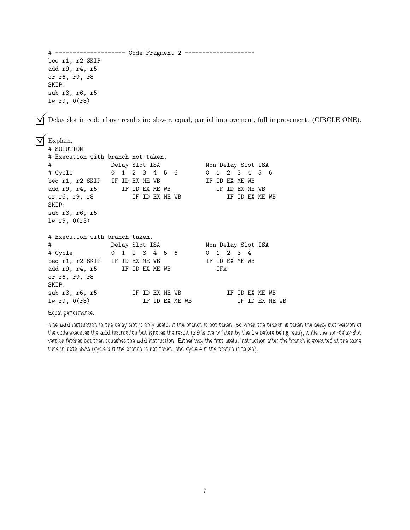```
# -------------------- Code Fragment 2 --------------------
  beq r1, r2 SKIP
  add r9, r4, r5
  or r6, r9, r8
  SKIP:
  sub r3, r6, r5
  lw r9, 0(r3)
   Delay slot in code above results in: slower, equal, partial improvement, full improvement. (CIRCLE ONE).
\nabla Explain.
  # SOLUTION
  # Execution with branch not taken.
  # Delay Slot ISA Non Delay Slot ISA
  # Cycle 0 1 2 3 4 5 6 0 1 2 3 4 5 6
  beq r1, r2 SKIP IF ID EX ME WB IF ID EX ME WB
  add r9, r4, r5 IF ID EX ME WB IF ID EX ME WB
  or r6, r9, r8 IF ID EX ME WB IF ID EX ME WB
  SKIP:
  sub r3, r6, r5
  lw r9, 0(r3)
  # Execution with branch taken.
  # Delay Slot ISA Non Delay Slot ISA
  # Cycle 0 1 2 3 4 5 6 0 1 2 3 4
  beq r1, r2 SKIP IF ID EX ME WB IF ID EX ME WB
  add r9, r4, r5 IF ID EX ME WB IFx
  or r6, r9, r8
  SKIP:
  sub r3, r6, r5 IF ID EX ME WB IF ID EX ME WB
  lw r9, 0(r3) IF ID EX ME WB IF ID EX ME WB
```
## Equal performance.

The add instruction in the delay slot is only useful if the branch is not taken. So when the branch is taken the delay-slot version of the code executes the add instruction but ignores the result (r9 is overwritten by the 1w before being read), while the non-delay-slot version fetches but then squashes the add instruction. Either way the first useful instruction after the branch is executed at the same time in both ISAs (cycle 3 if the branch is not taken, and cycle 4 if the branch is taken).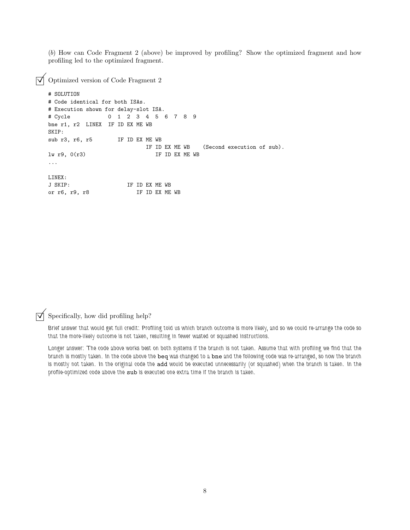(b) How can Code Fragment 2 (above) be improved by profiling? Show the optimized fragment and how profiling led to the optimized fragment.

 $\triangledown$  Optimized version of Code Fragment 2

```
# SOLUTION
# Code identical for both ISAs.
# Execution shown for delay-slot ISA.
# Cycle 0 1 2 3 4 5 6 7 8 9
bne r1, r2 LINEX IF ID EX ME WB
SKIP:
sub r3, r6, r5 IF ID EX ME WB
                      IF ID EX ME WB (Second execution of sub).
lw r9, 0(r3) IF ID EX ME WB
...
LINEX:
J SKIP: IF ID EX ME WB
or r6, r9, r8 IF ID EX ME WB
```
 $\triangledown$  Specifically, how did profiling help?

Brief answer that would get full credit: Profiling told us which branch outcome is more likely, and so we could re-arrange the code so that the more-likely outcome is not taken, resulting in fewer wasted or squashed instructions.

Longer answer: The code above works best on both systems if the branch is not taken. Assume that with profiling we find that the branch is mostly taken. In the code above the beq was changed to a bne and the following code was re-arranged, so now the branch is mostly not taken. In the original code the add would be executed unnecessarily (or squashed) when the branch is taken. In the profile-optimized code above the sub is executed one extra time if the branch is taken.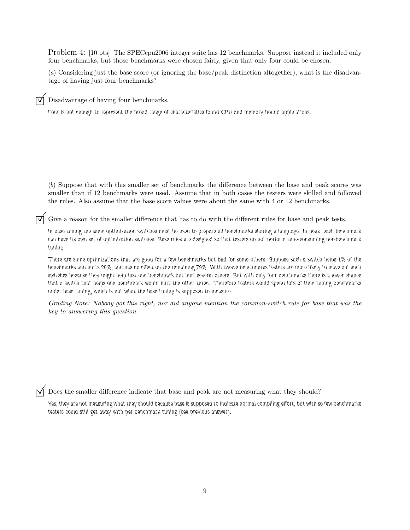Problem 4: [10 pts] The SPECcpu2006 integer suite has 12 benchmarks. Suppose instead it included only four benchmarks, but those benchmarks were chosen fairly, given that only four could be chosen.

(a) Considering just the base score (or ignoring the base/peak distinction altogether), what is the disadvantage of having just four benchmarks?

Disadvantage of having four benchmarks.

Four is not enough to represent the broad range of characteristics found CPU and memory bound applications.

(b) Suppose that with this smaller set of benchmarks the difference between the base and peak scores was smaller than if 12 benchmarks were used. Assume that in both cases the testers were skilled and followed the rules. Also assume that the base score values were about the same with 4 or 12 benchmarks.

 $\overrightarrow{\mathcal{A}}$  Give a reason for the smaller difference that has to do with the different rules for base and peak tests.

In base tuning the same optimization switches must be used to prepare all benchmarks sharing a language. In peak, each benchmark can have its own set of optimization switches. Base rules are designed so that testers do not perform time-consuming per-benchmark tuning.

There are some optimizations that are good for a few benchmarks but bad for some others. Suppose such a switch helps 1% of the benchmarks and hurts 20%, and has no effect on the remaining 79%. With twelve benchmarks testers are more likely to leave out such switches because they might help just one benchmark but hurt several others. But with only four benchmarks there is a lower chance that a switch that helps one benchmark would hurt the other three. Therefore testers would spend lots of time tuning benchmarks under base tuning, which is not what the base tuning is supposed to measure.

Grading Note: Nobody got this right, nor did anyone mention the common-switch rule for base that was the key to answering this question.

 $\triangledown$  Does the smaller difference indicate that base and peak are not measuring what they should?

Yes, they are not measuring what they should because base is supposed to indicate normal compiling effort, but with so few benchmarks testers could still get away with per-benchmark tuning (see previous answer).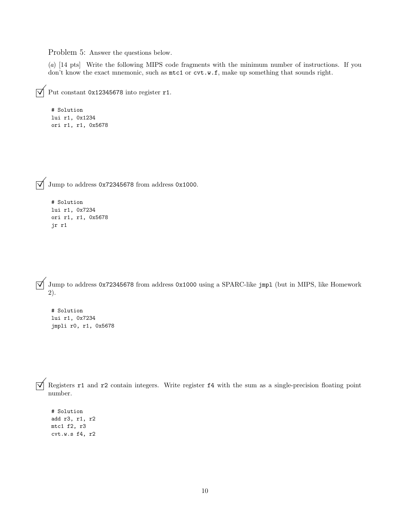Problem 5: Answer the questions below.

(a) [14 pts] Write the following MIPS code fragments with the minimum number of instructions. If you don't know the exact mnemonic, such as  $m \text{t}$  or  $\text{cv} \text{t} \cdot w \cdot \text{f}$ , make up something that sounds right.

```
\triangledown Put constant 0x12345678 into register r1.
```
# Solution lui r1, 0x1234 ori r1, r1, 0x5678

 $\sqrt{\phantom{a}}$  Jump to address 0x72345678 from address 0x1000.

```
# Solution
lui r1, 0x7234
ori r1, r1, 0x5678
jr r1
```
 $\overrightarrow{\mathcal{A}}$  Jump to address 0x72345678 from address 0x1000 using a SPARC-like jmpl (but in MIPS, like Homework 2).

# Solution lui r1, 0x7234 jmpli r0, r1, 0x5678

 $\overrightarrow{\mathcal{A}}$  Registers r1 and r2 contain integers. Write register f4 with the sum as a single-precision floating point number.

# Solution add r3, r1, r2 mtc1 f2, r3 cvt.w.s f4, r2